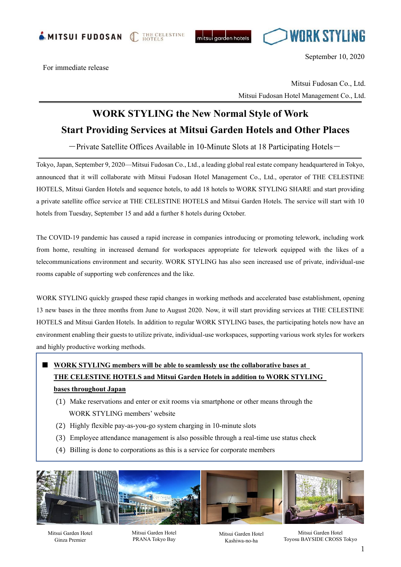

THE CELESTINE<br>HOTELS





September 10, 2020

For immediate release

 Mitsui Fudosan Co., Ltd. Mitsui Fudosan Hotel Management Co., Ltd.

## **WORK STYLING the New Normal Style of Work Start Providing Services at Mitsui Garden Hotels and Other Places**

 $-$ Private Satellite Offices Available in 10-Minute Slots at 18 Participating Hotels $-$ 

Tokyo, Japan, September 9, 2020—Mitsui Fudosan Co., Ltd., a leading global real estate company headquartered in Tokyo, announced that it will collaborate with Mitsui Fudosan Hotel Management Co., Ltd., operator of THE CELESTINE HOTELS, Mitsui Garden Hotels and sequence hotels, to add 18 hotels to WORK STYLING SHARE and start providing a private satellite office service at THE CELESTINE HOTELS and Mitsui Garden Hotels. The service will start with 10 hotels from Tuesday, September 15 and add a further 8 hotels during October.

The COVID-19 pandemic has caused a rapid increase in companies introducing or promoting telework, including work from home, resulting in increased demand for workspaces appropriate for telework equipped with the likes of a telecommunications environment and security. WORK STYLING has also seen increased use of private, individual-use rooms capable of supporting web conferences and the like.

WORK STYLING quickly grasped these rapid changes in working methods and accelerated base establishment, opening 13 new bases in the three months from June to August 2020. Now, it will start providing services at THE CELESTINE HOTELS and Mitsui Garden Hotels. In addition to regular WORK STYLING bases, the participating hotels now have an environment enabling their guests to utilize private, individual-use workspaces, supporting various work styles for workers and highly productive working methods.

## ■ **WORK STYLING** members will be able to seamlessly use the collaborative bases at **THE CELESTINE HOTELS and Mitsui Garden Hotels in addition to WORK STYLING bases throughout Japan**

- (1) Make reservations and enter or exit rooms via smartphone or other means through the WORK STYLING members' website
- (2) Highly flexible pay-as-you-go system charging in 10-minute slots
- (3) Employee attendance management is also possible through a real-time use status check
- (4) Billing is done to corporations as this is a service for corporate members



Mitsui Garden Hotel Ginza Premier

I I

> Mitsui Garden Hotel PRANA Tokyo Bay

Mitsui Garden Hotel Kashiwa-no-ha

Mitsui Garden Hotel Toyosu BAYSIDE CROSS Tokyo